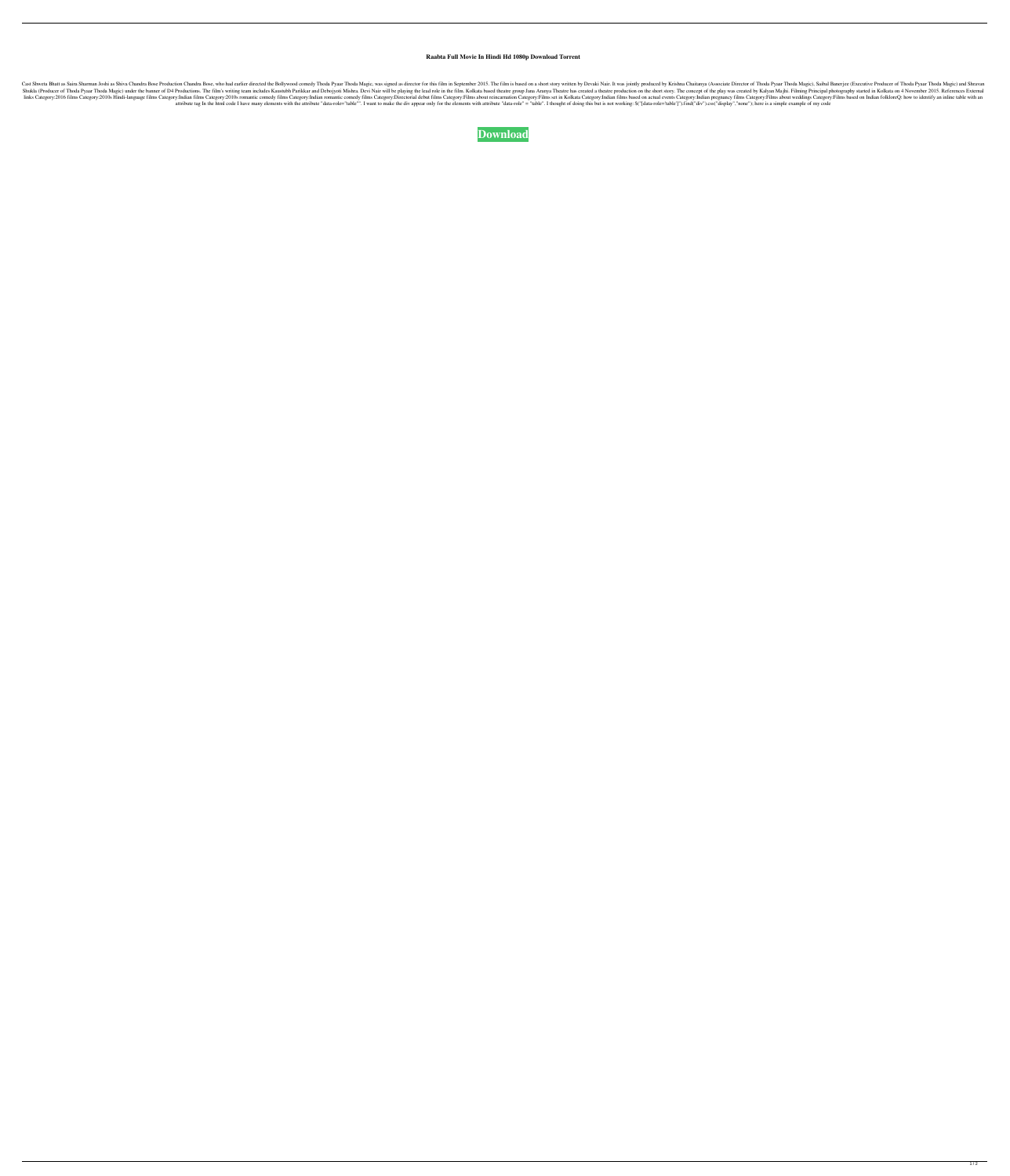## **Raabta Full Movie In Hindi Hd 1080p Download Torrent**

Cast Shweta Bhatt as Saira Sharman Joshi as Shiva Chandra Bose Production Chandra Bose, who had earlier directed the Bollywood comedy Thoda Pyaar Thoda Magic, was signed as director for this film in September 2015. The fil Shukla (Producer of Thoda Pyaar Thoda Magic) under the banner of D4 Productions. The film's writing team includes Kaustubh Parikkar and Debojyoti Mishra. Devi Nair will be playing the lead role in the film. Kolkata based t The Category:2010s Hindi-language films Category:2010s Hindi-language films Category:Indian films Category:2010s romantic comedy films Category:Indian romantic comedy films Category:Indian films Category:Indian pregnancy f attribute tag In the html code I have many elements with the attribute "data-role="table"". I want to make the div appear only for the elements with attribute "data-role" = "table". I thought of doing this but is not worki